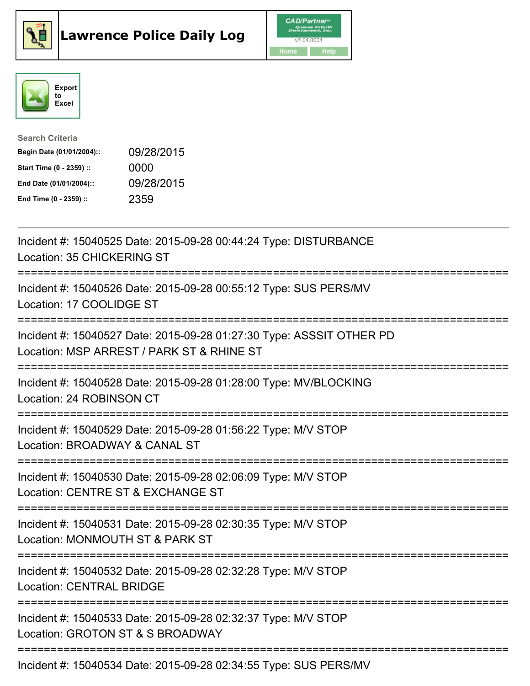





| <b>Search Criteria</b>    |            |
|---------------------------|------------|
| Begin Date (01/01/2004):: | 09/28/2015 |
| Start Time (0 - 2359) ::  | 0000       |
| End Date (01/01/2004)::   | 09/28/2015 |
| End Time (0 - 2359) ::    | 2359       |

| Incident #: 15040525 Date: 2015-09-28 00:44:24 Type: DISTURBANCE<br>Location: 35 CHICKERING ST                                                    |
|---------------------------------------------------------------------------------------------------------------------------------------------------|
| Incident #: 15040526 Date: 2015-09-28 00:55:12 Type: SUS PERS/MV<br>Location: 17 COOLIDGE ST<br>===============<br>:============================  |
| Incident #: 15040527 Date: 2015-09-28 01:27:30 Type: ASSSIT OTHER PD<br>Location: MSP ARREST / PARK ST & RHINE ST<br>============================ |
| Incident #: 15040528 Date: 2015-09-28 01:28:00 Type: MV/BLOCKING<br>Location: 24 ROBINSON CT                                                      |
| Incident #: 15040529 Date: 2015-09-28 01:56:22 Type: M/V STOP<br>Location: BROADWAY & CANAL ST                                                    |
| Incident #: 15040530 Date: 2015-09-28 02:06:09 Type: M/V STOP<br>Location: CENTRE ST & EXCHANGE ST                                                |
| Incident #: 15040531 Date: 2015-09-28 02:30:35 Type: M/V STOP<br>Location: MONMOUTH ST & PARK ST<br>========================                      |
| Incident #: 15040532 Date: 2015-09-28 02:32:28 Type: M/V STOP<br><b>Location: CENTRAL BRIDGE</b><br>=====================================         |
| Incident #: 15040533 Date: 2015-09-28 02:32:37 Type: M/V STOP<br>Location: GROTON ST & S BROADWAY                                                 |
| ------------------------------<br>Incident #: 15040534 Date: 2015-09-28 02:34:55 Type: SUS PERS/MV                                                |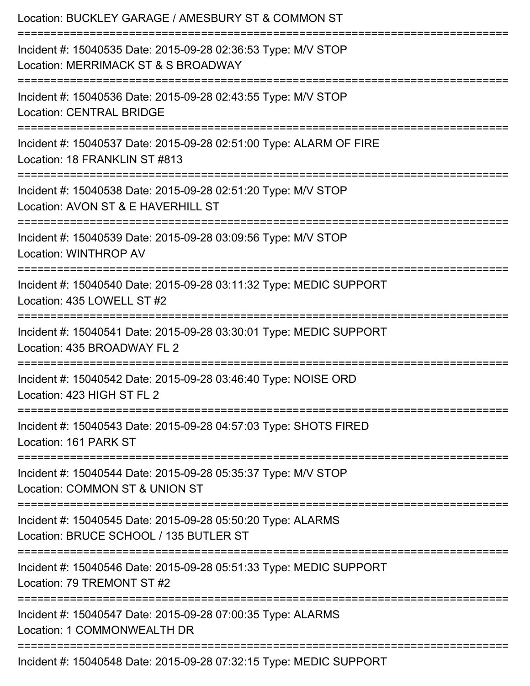| Location: BUCKLEY GARAGE / AMESBURY ST & COMMON ST<br>:================================                                        |
|--------------------------------------------------------------------------------------------------------------------------------|
| Incident #: 15040535 Date: 2015-09-28 02:36:53 Type: M/V STOP<br>Location: MERRIMACK ST & S BROADWAY<br>====================== |
| Incident #: 15040536 Date: 2015-09-28 02:43:55 Type: M/V STOP<br><b>Location: CENTRAL BRIDGE</b>                               |
| Incident #: 15040537 Date: 2015-09-28 02:51:00 Type: ALARM OF FIRE<br>Location: 18 FRANKLIN ST #813                            |
| Incident #: 15040538 Date: 2015-09-28 02:51:20 Type: M/V STOP<br>Location: AVON ST & E HAVERHILL ST                            |
| Incident #: 15040539 Date: 2015-09-28 03:09:56 Type: M/V STOP<br><b>Location: WINTHROP AV</b>                                  |
| Incident #: 15040540 Date: 2015-09-28 03:11:32 Type: MEDIC SUPPORT<br>Location: 435 LOWELL ST #2                               |
| Incident #: 15040541 Date: 2015-09-28 03:30:01 Type: MEDIC SUPPORT<br>Location: 435 BROADWAY FL 2                              |
| Incident #: 15040542 Date: 2015-09-28 03:46:40 Type: NOISE ORD<br>Location: 423 HIGH ST FL 2                                   |
| Incident #: 15040543 Date: 2015-09-28 04:57:03 Type: SHOTS FIRED<br>Location: 161 PARK ST                                      |
| Incident #: 15040544 Date: 2015-09-28 05:35:37 Type: M/V STOP<br>Location: COMMON ST & UNION ST                                |
| Incident #: 15040545 Date: 2015-09-28 05:50:20 Type: ALARMS<br>Location: BRUCE SCHOOL / 135 BUTLER ST                          |
| Incident #: 15040546 Date: 2015-09-28 05:51:33 Type: MEDIC SUPPORT<br>Location: 79 TREMONT ST #2                               |
| Incident #: 15040547 Date: 2015-09-28 07:00:35 Type: ALARMS<br>Location: 1 COMMONWEALTH DR                                     |
| Incident #: 15040548 Date: 2015-09-28 07:32:15 Type: MEDIC SUPPORT                                                             |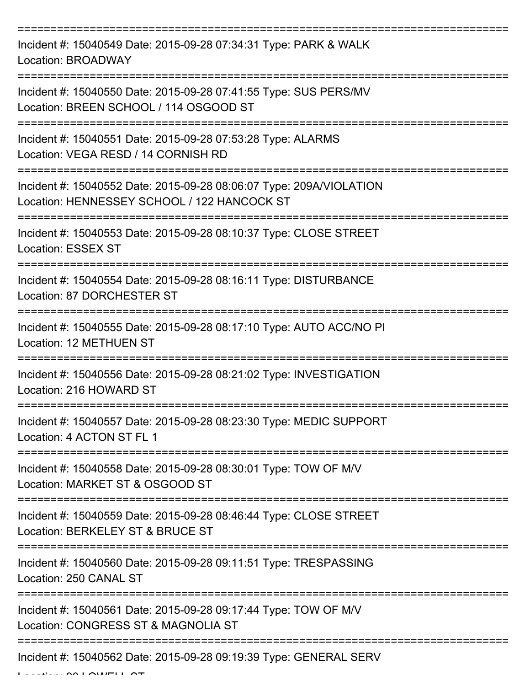| Incident #: 15040549 Date: 2015-09-28 07:34:31 Type: PARK & WALK<br>Location: BROADWAY                             |
|--------------------------------------------------------------------------------------------------------------------|
| Incident #: 15040550 Date: 2015-09-28 07:41:55 Type: SUS PERS/MV<br>Location: BREEN SCHOOL / 114 OSGOOD ST         |
| Incident #: 15040551 Date: 2015-09-28 07:53:28 Type: ALARMS<br>Location: VEGA RESD / 14 CORNISH RD                 |
| Incident #: 15040552 Date: 2015-09-28 08:06:07 Type: 209A/VIOLATION<br>Location: HENNESSEY SCHOOL / 122 HANCOCK ST |
| Incident #: 15040553 Date: 2015-09-28 08:10:37 Type: CLOSE STREET<br><b>Location: ESSEX ST</b>                     |
| Incident #: 15040554 Date: 2015-09-28 08:16:11 Type: DISTURBANCE<br>Location: 87 DORCHESTER ST                     |
| Incident #: 15040555 Date: 2015-09-28 08:17:10 Type: AUTO ACC/NO PI<br>Location: 12 METHUEN ST                     |
| Incident #: 15040556 Date: 2015-09-28 08:21:02 Type: INVESTIGATION<br>Location: 216 HOWARD ST                      |
| Incident #: 15040557 Date: 2015-09-28 08:23:30 Type: MEDIC SUPPORT<br>Location: 4 ACTON ST FL 1                    |
| Incident #: 15040558 Date: 2015-09-28 08:30:01 Type: TOW OF M/V<br>Location: MARKET ST & OSGOOD ST                 |
| Incident #: 15040559 Date: 2015-09-28 08:46:44 Type: CLOSE STREET<br>Location: BERKELEY ST & BRUCE ST              |
| Incident #: 15040560 Date: 2015-09-28 09:11:51 Type: TRESPASSING<br>Location: 250 CANAL ST                         |
| Incident #: 15040561 Date: 2015-09-28 09:17:44 Type: TOW OF M/V<br>Location: CONGRESS ST & MAGNOLIA ST             |
| Incident #: 15040562 Date: 2015-09-28 09:19:39 Type: GENERAL SERV                                                  |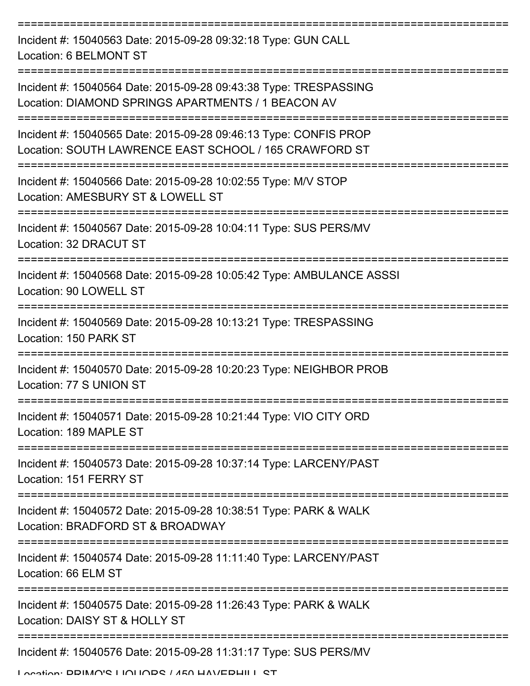| Incident #: 15040563 Date: 2015-09-28 09:32:18 Type: GUN CALL<br>Location: 6 BELMONT ST                                    |
|----------------------------------------------------------------------------------------------------------------------------|
| Incident #: 15040564 Date: 2015-09-28 09:43:38 Type: TRESPASSING<br>Location: DIAMOND SPRINGS APARTMENTS / 1 BEACON AV     |
| Incident #: 15040565 Date: 2015-09-28 09:46:13 Type: CONFIS PROP<br>Location: SOUTH LAWRENCE EAST SCHOOL / 165 CRAWFORD ST |
| Incident #: 15040566 Date: 2015-09-28 10:02:55 Type: M/V STOP<br>Location: AMESBURY ST & LOWELL ST                         |
| Incident #: 15040567 Date: 2015-09-28 10:04:11 Type: SUS PERS/MV<br>Location: 32 DRACUT ST                                 |
| Incident #: 15040568 Date: 2015-09-28 10:05:42 Type: AMBULANCE ASSSI<br>Location: 90 LOWELL ST                             |
| Incident #: 15040569 Date: 2015-09-28 10:13:21 Type: TRESPASSING<br>Location: 150 PARK ST                                  |
| Incident #: 15040570 Date: 2015-09-28 10:20:23 Type: NEIGHBOR PROB<br>Location: 77 S UNION ST                              |
| Incident #: 15040571 Date: 2015-09-28 10:21:44 Type: VIO CITY ORD<br>Location: 189 MAPLE ST                                |
| Incident #: 15040573 Date: 2015-09-28 10:37:14 Type: LARCENY/PAST<br>Location: 151 FERRY ST                                |
| Incident #: 15040572 Date: 2015-09-28 10:38:51 Type: PARK & WALK<br>Location: BRADFORD ST & BROADWAY                       |
| Incident #: 15040574 Date: 2015-09-28 11:11:40 Type: LARCENY/PAST<br>Location: 66 ELM ST                                   |
| Incident #: 15040575 Date: 2015-09-28 11:26:43 Type: PARK & WALK<br>Location: DAISY ST & HOLLY ST                          |
| Incident #: 15040576 Date: 2015-09-28 11:31:17 Type: SUS PERS/MV                                                           |
| I occion: DDIMA'S I IAHADS / AEA HAVEDHILL ST                                                                              |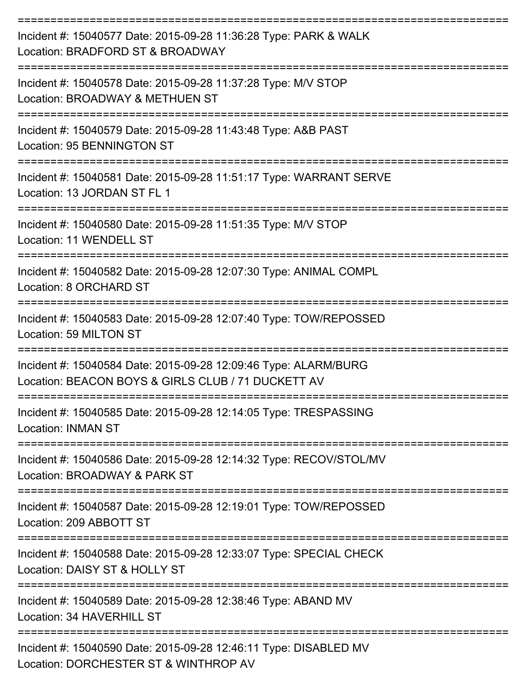| Incident #: 15040577 Date: 2015-09-28 11:36:28 Type: PARK & WALK<br>Location: BRADFORD ST & BROADWAY                         |
|------------------------------------------------------------------------------------------------------------------------------|
| Incident #: 15040578 Date: 2015-09-28 11:37:28 Type: M/V STOP<br>Location: BROADWAY & METHUEN ST                             |
| Incident #: 15040579 Date: 2015-09-28 11:43:48 Type: A&B PAST<br>Location: 95 BENNINGTON ST                                  |
| Incident #: 15040581 Date: 2015-09-28 11:51:17 Type: WARRANT SERVE<br>Location: 13 JORDAN ST FL 1                            |
| Incident #: 15040580 Date: 2015-09-28 11:51:35 Type: M/V STOP<br>Location: 11 WENDELL ST                                     |
| Incident #: 15040582 Date: 2015-09-28 12:07:30 Type: ANIMAL COMPL<br>Location: 8 ORCHARD ST                                  |
| Incident #: 15040583 Date: 2015-09-28 12:07:40 Type: TOW/REPOSSED<br>Location: 59 MILTON ST                                  |
| Incident #: 15040584 Date: 2015-09-28 12:09:46 Type: ALARM/BURG<br>Location: BEACON BOYS & GIRLS CLUB / 71 DUCKETT AV        |
| Incident #: 15040585 Date: 2015-09-28 12:14:05 Type: TRESPASSING<br><b>Location: INMAN ST</b>                                |
| ======================<br>Incident #: 15040586 Date: 2015-09-28 12:14:32 Type: RECOV/STOL/MV<br>Location: BROADWAY & PARK ST |
| Incident #: 15040587 Date: 2015-09-28 12:19:01 Type: TOW/REPOSSED<br>Location: 209 ABBOTT ST                                 |
| Incident #: 15040588 Date: 2015-09-28 12:33:07 Type: SPECIAL CHECK<br>Location: DAISY ST & HOLLY ST                          |
| Incident #: 15040589 Date: 2015-09-28 12:38:46 Type: ABAND MV<br>Location: 34 HAVERHILL ST                                   |
| Incident #: 15040590 Date: 2015-09-28 12:46:11 Type: DISABLED MV<br>Location: DORCHESTER ST & WINTHROP AV                    |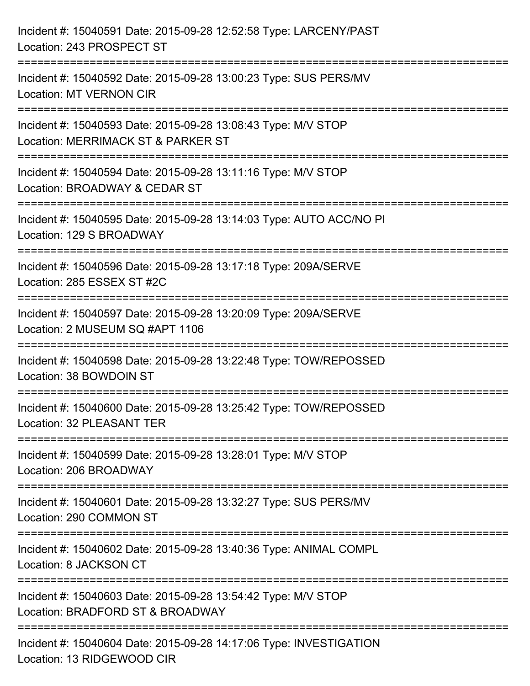| Incident #: 15040591 Date: 2015-09-28 12:52:58 Type: LARCENY/PAST<br>Location: 243 PROSPECT ST                         |
|------------------------------------------------------------------------------------------------------------------------|
| Incident #: 15040592 Date: 2015-09-28 13:00:23 Type: SUS PERS/MV<br><b>Location: MT VERNON CIR</b>                     |
| Incident #: 15040593 Date: 2015-09-28 13:08:43 Type: M/V STOP<br>Location: MERRIMACK ST & PARKER ST                    |
| Incident #: 15040594 Date: 2015-09-28 13:11:16 Type: M/V STOP<br>Location: BROADWAY & CEDAR ST<br>-------------------- |
| Incident #: 15040595 Date: 2015-09-28 13:14:03 Type: AUTO ACC/NO PI<br>Location: 129 S BROADWAY                        |
| Incident #: 15040596 Date: 2015-09-28 13:17:18 Type: 209A/SERVE<br>Location: 285 ESSEX ST #2C                          |
| Incident #: 15040597 Date: 2015-09-28 13:20:09 Type: 209A/SERVE<br>Location: 2 MUSEUM SQ #APT 1106                     |
| Incident #: 15040598 Date: 2015-09-28 13:22:48 Type: TOW/REPOSSED<br>Location: 38 BOWDOIN ST                           |
| Incident #: 15040600 Date: 2015-09-28 13:25:42 Type: TOW/REPOSSED<br>Location: 32 PLEASANT TER                         |
| Incident #: 15040599 Date: 2015-09-28 13:28:01 Type: M/V STOP<br>Location: 206 BROADWAY                                |
| Incident #: 15040601 Date: 2015-09-28 13:32:27 Type: SUS PERS/MV<br>Location: 290 COMMON ST                            |
| Incident #: 15040602 Date: 2015-09-28 13:40:36 Type: ANIMAL COMPL<br>Location: 8 JACKSON CT                            |
| Incident #: 15040603 Date: 2015-09-28 13:54:42 Type: M/V STOP<br>Location: BRADFORD ST & BROADWAY                      |
| Incident #: 15040604 Date: 2015-09-28 14:17:06 Type: INVESTIGATION<br>Location: 13 RIDGEWOOD CIR                       |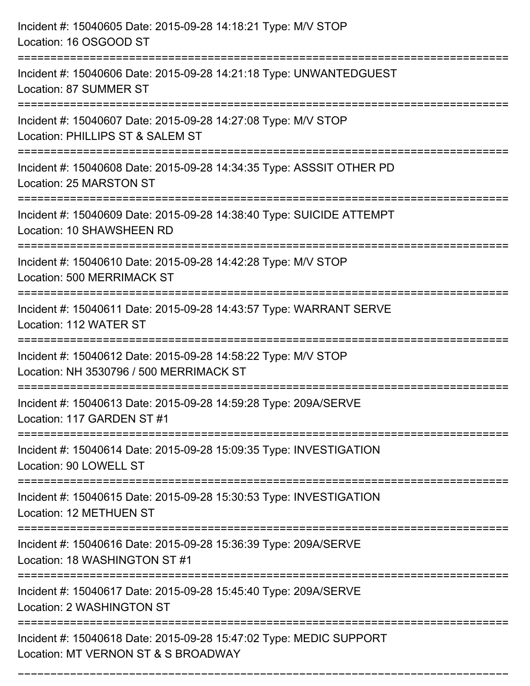| Incident #: 15040605 Date: 2015-09-28 14:18:21 Type: M/V STOP<br>Location: 16 OSGOOD ST<br>================================           |
|---------------------------------------------------------------------------------------------------------------------------------------|
| Incident #: 15040606 Date: 2015-09-28 14:21:18 Type: UNWANTEDGUEST<br>Location: 87 SUMMER ST                                          |
| Incident #: 15040607 Date: 2015-09-28 14:27:08 Type: M/V STOP<br>Location: PHILLIPS ST & SALEM ST<br>================================ |
| Incident #: 15040608 Date: 2015-09-28 14:34:35 Type: ASSSIT OTHER PD<br>Location: 25 MARSTON ST<br>===========================        |
| Incident #: 15040609 Date: 2015-09-28 14:38:40 Type: SUICIDE ATTEMPT<br>Location: 10 SHAWSHEEN RD                                     |
| Incident #: 15040610 Date: 2015-09-28 14:42:28 Type: M/V STOP<br>Location: 500 MERRIMACK ST                                           |
| Incident #: 15040611 Date: 2015-09-28 14:43:57 Type: WARRANT SERVE<br>Location: 112 WATER ST                                          |
| Incident #: 15040612 Date: 2015-09-28 14:58:22 Type: M/V STOP<br>Location: NH 3530796 / 500 MERRIMACK ST                              |
| Incident #: 15040613 Date: 2015-09-28 14:59:28 Type: 209A/SERVE<br>Location: 117 GARDEN ST #1                                         |
| Incident #: 15040614 Date: 2015-09-28 15:09:35 Type: INVESTIGATION<br>Location: 90 LOWELL ST                                          |
| Incident #: 15040615 Date: 2015-09-28 15:30:53 Type: INVESTIGATION<br>Location: 12 METHUEN ST                                         |
| Incident #: 15040616 Date: 2015-09-28 15:36:39 Type: 209A/SERVE<br>Location: 18 WASHINGTON ST #1                                      |
| Incident #: 15040617 Date: 2015-09-28 15:45:40 Type: 209A/SERVE<br>Location: 2 WASHINGTON ST                                          |
| Incident #: 15040618 Date: 2015-09-28 15:47:02 Type: MEDIC SUPPORT<br>Location: MT VERNON ST & S BROADWAY                             |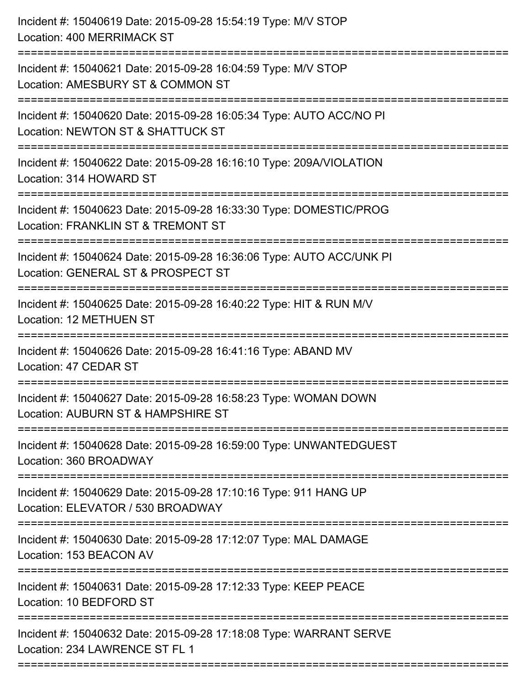| Incident #: 15040619 Date: 2015-09-28 15:54:19 Type: M/V STOP<br>Location: 400 MERRIMACK ST                                          |
|--------------------------------------------------------------------------------------------------------------------------------------|
| :===========================<br>Incident #: 15040621 Date: 2015-09-28 16:04:59 Type: M/V STOP<br>Location: AMESBURY ST & COMMON ST   |
| Incident #: 15040620 Date: 2015-09-28 16:05:34 Type: AUTO ACC/NO PI<br>Location: NEWTON ST & SHATTUCK ST<br>======================   |
| Incident #: 15040622 Date: 2015-09-28 16:16:10 Type: 209A/VIOLATION<br>Location: 314 HOWARD ST                                       |
| Incident #: 15040623 Date: 2015-09-28 16:33:30 Type: DOMESTIC/PROG<br>Location: FRANKLIN ST & TREMONT ST<br>:==================      |
| Incident #: 15040624 Date: 2015-09-28 16:36:06 Type: AUTO ACC/UNK PI<br>Location: GENERAL ST & PROSPECT ST<br>====================== |
| Incident #: 15040625 Date: 2015-09-28 16:40:22 Type: HIT & RUN M/V<br>Location: 12 METHUEN ST<br>===============================     |
| Incident #: 15040626 Date: 2015-09-28 16:41:16 Type: ABAND MV<br>Location: 47 CEDAR ST                                               |
| Incident #: 15040627 Date: 2015-09-28 16:58:23 Type: WOMAN DOWN<br>Location: AUBURN ST & HAMPSHIRE ST                                |
| Incident #: 15040628 Date: 2015-09-28 16:59:00 Type: UNWANTEDGUEST<br>Location: 360 BROADWAY                                         |
| Incident #: 15040629 Date: 2015-09-28 17:10:16 Type: 911 HANG UP<br>Location: ELEVATOR / 530 BROADWAY                                |
| Incident #: 15040630 Date: 2015-09-28 17:12:07 Type: MAL DAMAGE<br>Location: 153 BEACON AV                                           |
| Incident #: 15040631 Date: 2015-09-28 17:12:33 Type: KEEP PEACE<br>Location: 10 BEDFORD ST                                           |
| Incident #: 15040632 Date: 2015-09-28 17:18:08 Type: WARRANT SERVE<br>Location: 234 LAWRENCE ST FL 1                                 |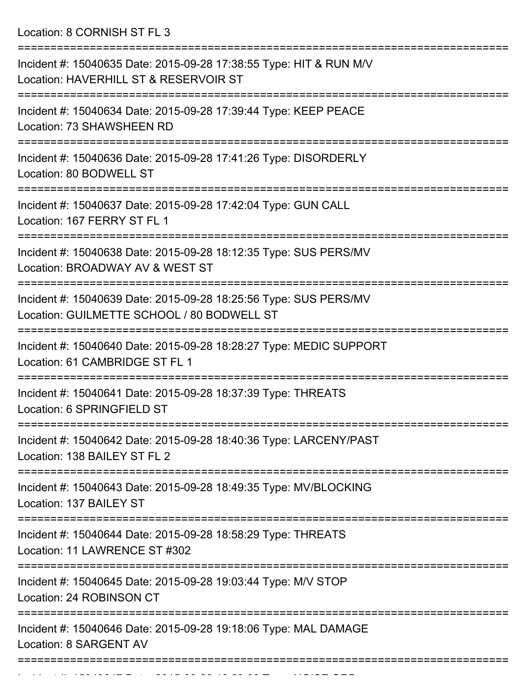Location: 8 CORNISH ST FL 3

| Incident #: 15040635 Date: 2015-09-28 17:38:55 Type: HIT & RUN M/V<br>Location: HAVERHILL ST & RESERVOIR ST          |
|----------------------------------------------------------------------------------------------------------------------|
| Incident #: 15040634 Date: 2015-09-28 17:39:44 Type: KEEP PEACE<br>Location: 73 SHAWSHEEN RD                         |
| Incident #: 15040636 Date: 2015-09-28 17:41:26 Type: DISORDERLY<br>Location: 80 BODWELL ST                           |
| Incident #: 15040637 Date: 2015-09-28 17:42:04 Type: GUN CALL<br>Location: 167 FERRY ST FL 1                         |
| Incident #: 15040638 Date: 2015-09-28 18:12:35 Type: SUS PERS/MV<br>Location: BROADWAY AV & WEST ST                  |
| Incident #: 15040639 Date: 2015-09-28 18:25:56 Type: SUS PERS/MV<br>Location: GUILMETTE SCHOOL / 80 BODWELL ST       |
| Incident #: 15040640 Date: 2015-09-28 18:28:27 Type: MEDIC SUPPORT<br>Location: 61 CAMBRIDGE ST FL 1                 |
| Incident #: 15040641 Date: 2015-09-28 18:37:39 Type: THREATS<br>Location: 6 SPRINGFIELD ST                           |
| ---------------<br>Incident #: 15040642 Date: 2015-09-28 18:40:36 Type: LARCENY/PAST<br>Location: 138 BAILEY ST FL 2 |
| Incident #: 15040643 Date: 2015-09-28 18:49:35 Type: MV/BLOCKING<br>Location: 137 BAILEY ST                          |
| Incident #: 15040644 Date: 2015-09-28 18:58:29 Type: THREATS<br>Location: 11 LAWRENCE ST #302                        |
| Incident #: 15040645 Date: 2015-09-28 19:03:44 Type: M/V STOP<br>Location: 24 ROBINSON CT                            |
| Incident #: 15040646 Date: 2015-09-28 19:18:06 Type: MAL DAMAGE<br>Location: 8 SARGENT AV                            |
|                                                                                                                      |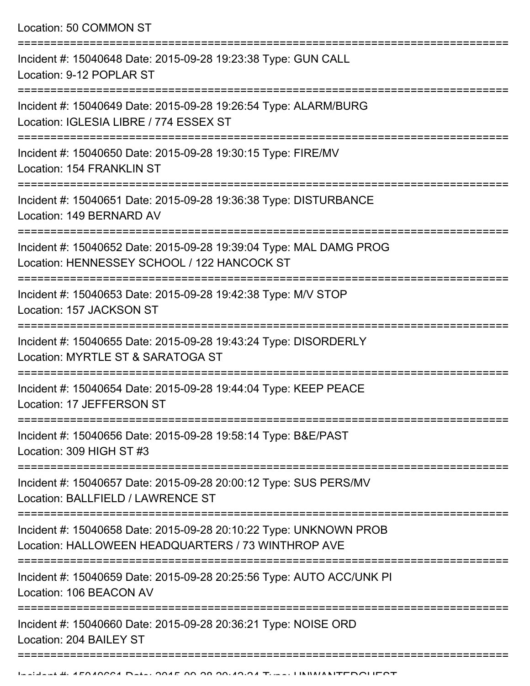Location: 50 COMMON ST

| Incident #: 15040648 Date: 2015-09-28 19:23:38 Type: GUN CALL<br>Location: 9-12 POPLAR ST                                             |
|---------------------------------------------------------------------------------------------------------------------------------------|
| Incident #: 15040649 Date: 2015-09-28 19:26:54 Type: ALARM/BURG<br>Location: IGLESIA LIBRE / 774 ESSEX ST                             |
| Incident #: 15040650 Date: 2015-09-28 19:30:15 Type: FIRE/MV<br>Location: 154 FRANKLIN ST                                             |
| Incident #: 15040651 Date: 2015-09-28 19:36:38 Type: DISTURBANCE<br>Location: 149 BERNARD AV                                          |
| Incident #: 15040652 Date: 2015-09-28 19:39:04 Type: MAL DAMG PROG<br>Location: HENNESSEY SCHOOL / 122 HANCOCK ST<br>================ |
| Incident #: 15040653 Date: 2015-09-28 19:42:38 Type: M/V STOP<br>Location: 157 JACKSON ST                                             |
| Incident #: 15040655 Date: 2015-09-28 19:43:24 Type: DISORDERLY<br>Location: MYRTLE ST & SARATOGA ST                                  |
| Incident #: 15040654 Date: 2015-09-28 19:44:04 Type: KEEP PEACE<br>Location: 17 JEFFERSON ST                                          |
| Incident #: 15040656 Date: 2015-09-28 19:58:14 Type: B&E/PAST<br>Location: 309 HIGH ST #3                                             |
| Incident #: 15040657 Date: 2015-09-28 20:00:12 Type: SUS PERS/MV<br>Location: BALLFIELD / LAWRENCE ST                                 |
| Incident #: 15040658 Date: 2015-09-28 20:10:22 Type: UNKNOWN PROB<br>Location: HALLOWEEN HEADQUARTERS / 73 WINTHROP AVE               |
| Incident #: 15040659 Date: 2015-09-28 20:25:56 Type: AUTO ACC/UNK PI<br>Location: 106 BEACON AV                                       |
| Incident #: 15040660 Date: 2015-09-28 20:36:21 Type: NOISE ORD<br>Location: 204 BAILEY ST                                             |
|                                                                                                                                       |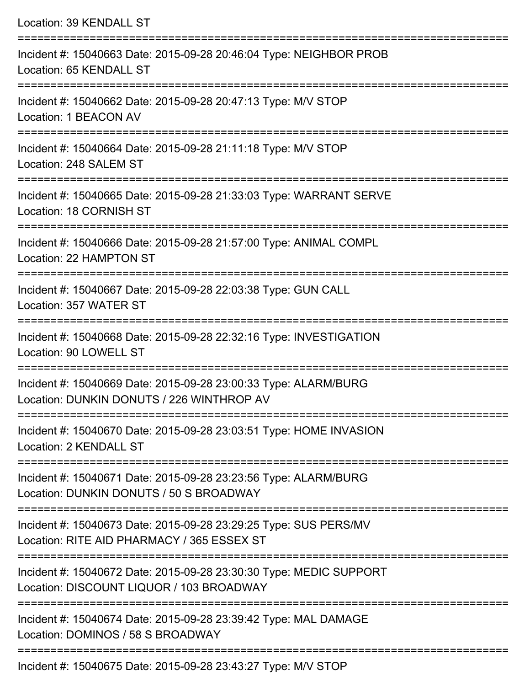| Location: 39 KENDALL ST                                                                                                 |
|-------------------------------------------------------------------------------------------------------------------------|
| Incident #: 15040663 Date: 2015-09-28 20:46:04 Type: NEIGHBOR PROB<br>Location: 65 KENDALL ST                           |
| Incident #: 15040662 Date: 2015-09-28 20:47:13 Type: M/V STOP<br>Location: 1 BEACON AV                                  |
| Incident #: 15040664 Date: 2015-09-28 21:11:18 Type: M/V STOP<br>Location: 248 SALEM ST                                 |
| Incident #: 15040665 Date: 2015-09-28 21:33:03 Type: WARRANT SERVE<br>Location: 18 CORNISH ST                           |
| Incident #: 15040666 Date: 2015-09-28 21:57:00 Type: ANIMAL COMPL<br>Location: 22 HAMPTON ST                            |
| Incident #: 15040667 Date: 2015-09-28 22:03:38 Type: GUN CALL<br>Location: 357 WATER ST                                 |
| Incident #: 15040668 Date: 2015-09-28 22:32:16 Type: INVESTIGATION<br>Location: 90 LOWELL ST<br>======================= |
| Incident #: 15040669 Date: 2015-09-28 23:00:33 Type: ALARM/BURG<br>Location: DUNKIN DONUTS / 226 WINTHROP AV            |
| Incident #: 15040670 Date: 2015-09-28 23:03:51 Type: HOME INVASION<br>Location: 2 KENDALL ST                            |
| Incident #: 15040671 Date: 2015-09-28 23:23:56 Type: ALARM/BURG<br>Location: DUNKIN DONUTS / 50 S BROADWAY              |
| Incident #: 15040673 Date: 2015-09-28 23:29:25 Type: SUS PERS/MV<br>Location: RITE AID PHARMACY / 365 ESSEX ST          |
| Incident #: 15040672 Date: 2015-09-28 23:30:30 Type: MEDIC SUPPORT<br>Location: DISCOUNT LIQUOR / 103 BROADWAY          |
| Incident #: 15040674 Date: 2015-09-28 23:39:42 Type: MAL DAMAGE<br>Location: DOMINOS / 58 S BROADWAY                    |

Incident #: 15040675 Date: 2015-09-28 23:43:27 Type: M/V STOP